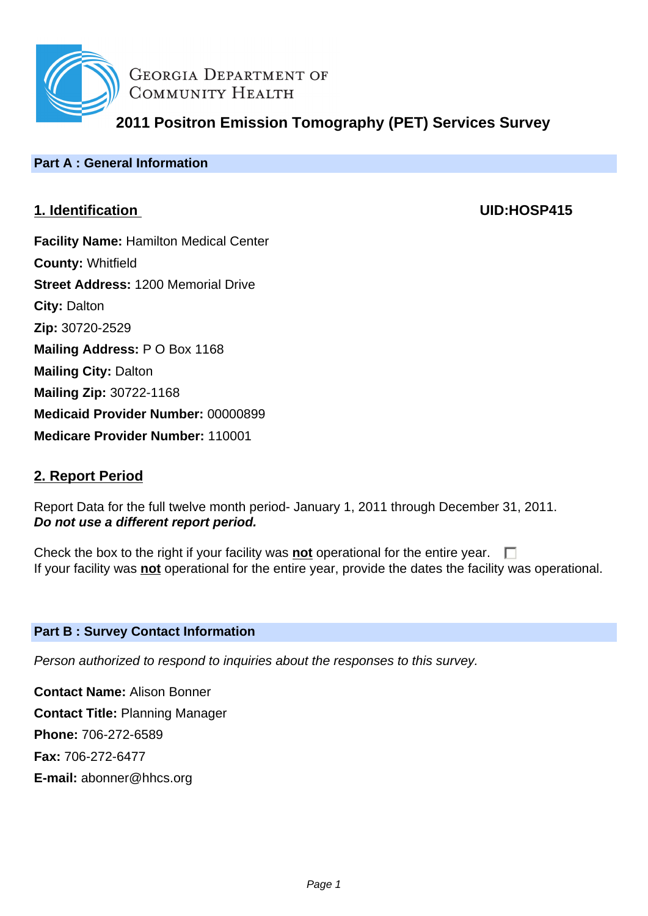

**GEORGIA DEPARTMENT OF** COMMUNITY HEALTH

**2011 Positron Emission Tomography (PET) Services Survey**

# **Part A : General Information**

# **1. Identification UID:HOSP415**

**Facility Name:** Hamilton Medical Center **County:** Whitfield **Street Address:** 1200 Memorial Drive **City:** Dalton **Zip:** 30720-2529 **Mailing Address:** P O Box 1168 **Mailing City:** Dalton **Mailing Zip:** 30722-1168 **Medicaid Provider Number:** 00000899 **Medicare Provider Number:** 110001

# **2. Report Period**

Report Data for the full twelve month period- January 1, 2011 through December 31, 2011. **Do not use a different report period.**

Check the box to the right if your facility was **not** operational for the entire year.  $\Box$ If your facility was **not** operational for the entire year, provide the dates the facility was operational.

# **Part B : Survey Contact Information**

Person authorized to respond to inquiries about the responses to this survey.

**Contact Name:** Alison Bonner **Contact Title:** Planning Manager **Phone:** 706-272-6589 **Fax:** 706-272-6477 **E-mail:** abonner@hhcs.org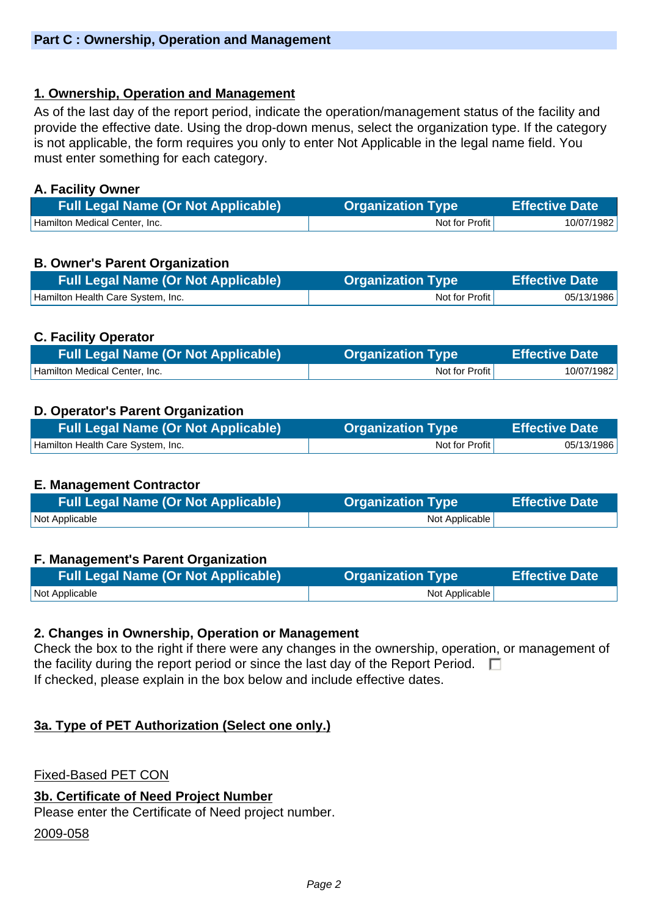# **1. Ownership, Operation and Management**

As of the last day of the report period, indicate the operation/management status of the facility and provide the effective date. Using the drop-down menus, select the organization type. If the category is not applicable, the form requires you only to enter Not Applicable in the legal name field. You must enter something for each category.

### **A. Facility Owner**

| <b>Full Legal Name (Or Not Applicable)</b> | <b>Organization Type</b> | <b>Effective Date</b> |
|--------------------------------------------|--------------------------|-----------------------|
| Hamilton Medical Center, Inc.              | Not for Profit           | 10/07/1982            |

# **B. Owner's Parent Organization**

| <b>Full Legal Name (Or Not Applicable)</b> | <b>Organization Type</b> | <b>Effective Date</b> |
|--------------------------------------------|--------------------------|-----------------------|
| Hamilton Health Care System, Inc.          | Not for Profit           | 05/13/1986            |

# **C. Facility Operator**

| <b>Full Legal Name (Or Not Applicable)</b> | <b>Organization Type</b> | <b>Effective Date</b> |
|--------------------------------------------|--------------------------|-----------------------|
| Hamilton Medical Center, Inc.              | Not for Profit           | 10/07/1982            |

# **D. Operator's Parent Organization**

| <b>Full Legal Name (Or Not Applicable)</b> | <b>Organization Type</b> | <b>Effective Date</b> |
|--------------------------------------------|--------------------------|-----------------------|
| Hamilton Health Care System, Inc.          | Not for Profit           | 05/13/1986            |

#### **E. Management Contractor**

| <b>Full Legal Name (Or Not Applicable)</b> | <b>Organization Type</b> | Effective Date |
|--------------------------------------------|--------------------------|----------------|
| Not Applicable                             | Not Applicable           |                |

#### **F. Management's Parent Organization**

| <b>Full Legal Name (Or Not Applicable)</b> | <b>Organization Type</b> | <b>Effective Date</b> |
|--------------------------------------------|--------------------------|-----------------------|
| Not Applicable                             | Not Applicable           |                       |

#### **2. Changes in Ownership, Operation or Management**

Check the box to the right if there were any changes in the ownership, operation, or management of the facility during the report period or since the last day of the Report Period.  $\Box$ If checked, please explain in the box below and include effective dates.

#### **3a. Type of PET Authorization (Select one only.)**

Fixed-Based PET CON

#### **3b. Certificate of Need Project Number**

Please enter the Certificate of Need project number.

2009-058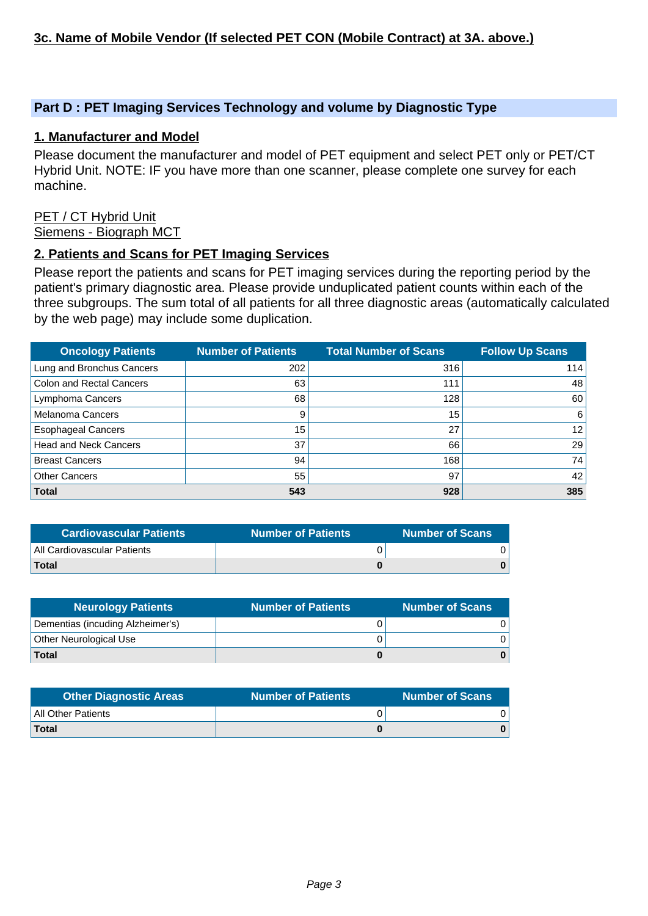### **Part D : PET Imaging Services Technology and volume by Diagnostic Type**

#### **1. Manufacturer and Model**

Please document the manufacturer and model of PET equipment and select PET only or PET/CT Hybrid Unit. NOTE: IF you have more than one scanner, please complete one survey for each machine.

#### PET / CT Hybrid Unit Siemens - Biograph MCT

#### **2. Patients and Scans for PET Imaging Services**

Please report the patients and scans for PET imaging services during the reporting period by the patient's primary diagnostic area. Please provide unduplicated patient counts within each of the three subgroups. The sum total of all patients for all three diagnostic areas (automatically calculated by the web page) may include some duplication.

| <b>Oncology Patients</b>        | <b>Number of Patients</b> | <b>Total Number of Scans</b> | <b>Follow Up Scans</b> |
|---------------------------------|---------------------------|------------------------------|------------------------|
| Lung and Bronchus Cancers       | 202                       | 316                          | 114                    |
| <b>Colon and Rectal Cancers</b> | 63                        | 111                          | 48                     |
| Lymphoma Cancers                | 68                        | 128                          | 60                     |
| <b>Melanoma Cancers</b>         | 9                         | 15                           | 6                      |
| <b>Esophageal Cancers</b>       | 15                        | 27                           | 12                     |
| <b>Head and Neck Cancers</b>    | 37                        | 66                           | 29                     |
| <b>Breast Cancers</b>           | 94                        | 168                          | 74                     |
| <b>Other Cancers</b>            | 55                        | 97                           | 42                     |
| <b>Total</b>                    | 543                       | 928                          | 385                    |

| <b>Cardiovascular Patients</b> | <b>Number of Patients</b> | <b>Number of Scans</b> |
|--------------------------------|---------------------------|------------------------|
| All Cardiovascular Patients    |                           |                        |
| <b>Total</b>                   |                           |                        |

| <b>Neurology Patients</b>        | <b>Number of Patients</b> | <b>Number of Scans</b> |
|----------------------------------|---------------------------|------------------------|
| Dementias (incuding Alzheimer's) |                           |                        |
| Other Neurological Use           |                           |                        |
| <b>Total</b>                     |                           |                        |

| <b>Other Diagnostic Areas</b> | <b>Number of Patients</b> | <b>Number of Scans</b> |
|-------------------------------|---------------------------|------------------------|
| All Other Patients            |                           |                        |
| Total                         |                           |                        |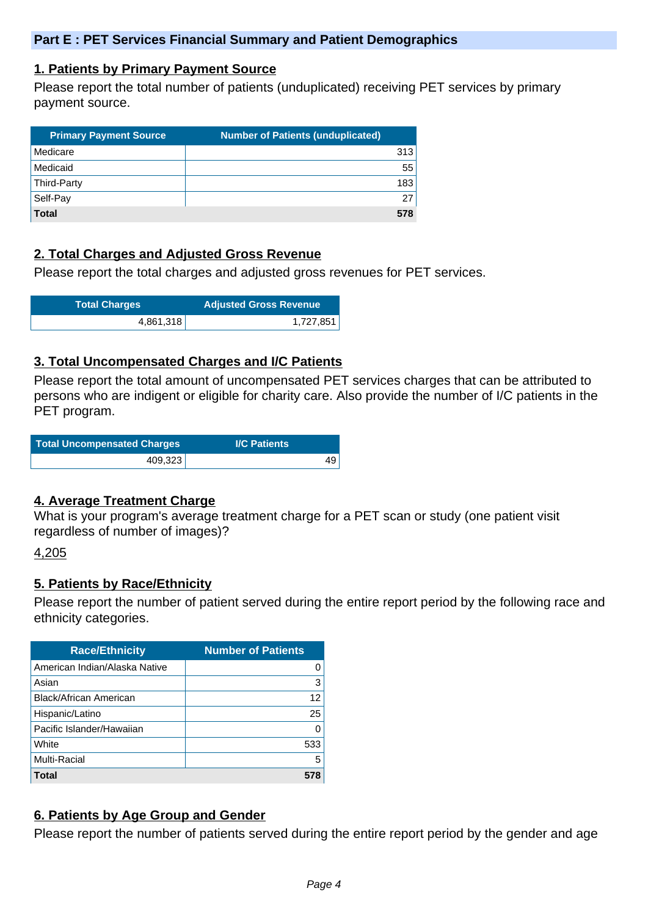#### **1. Patients by Primary Payment Source**

Please report the total number of patients (unduplicated) receiving PET services by primary payment source.

| <b>Primary Payment Source</b> | <b>Number of Patients (unduplicated)</b> |
|-------------------------------|------------------------------------------|
| Medicare                      | 313                                      |
| Medicaid                      | 55                                       |
| Third-Party                   | 183                                      |
| Self-Pay                      | 27                                       |
| <b>Total</b>                  | 578                                      |

# **2. Total Charges and Adjusted Gross Revenue**

Please report the total charges and adjusted gross revenues for PET services.

| <b>Total Charges</b> | <b>Adjusted Gross Revenue</b> |
|----------------------|-------------------------------|
| 4,861,318            | 1,727,851                     |

#### **3. Total Uncompensated Charges and I/C Patients**

Please report the total amount of uncompensated PET services charges that can be attributed to persons who are indigent or eligible for charity care. Also provide the number of I/C patients in the PET program.

|         | <b>I/C Patients</b> |
|---------|---------------------|
| 409,323 | 49                  |

#### **4. Average Treatment Charge**

What is your program's average treatment charge for a PET scan or study (one patient visit regardless of number of images)?

#### 4,205

#### **5. Patients by Race/Ethnicity**

Please report the number of patient served during the entire report period by the following race and ethnicity categories.

| <b>Race/Ethnicity</b>         | <b>Number of Patients</b> |
|-------------------------------|---------------------------|
| American Indian/Alaska Native | O                         |
| Asian                         | 3                         |
| <b>Black/African American</b> | 12                        |
| Hispanic/Latino               | 25                        |
| Pacific Islander/Hawaiian     | O                         |
| White                         | 533                       |
| Multi-Racial                  | 5                         |
| Total                         |                           |

# **6. Patients by Age Group and Gender**

Please report the number of patients served during the entire report period by the gender and age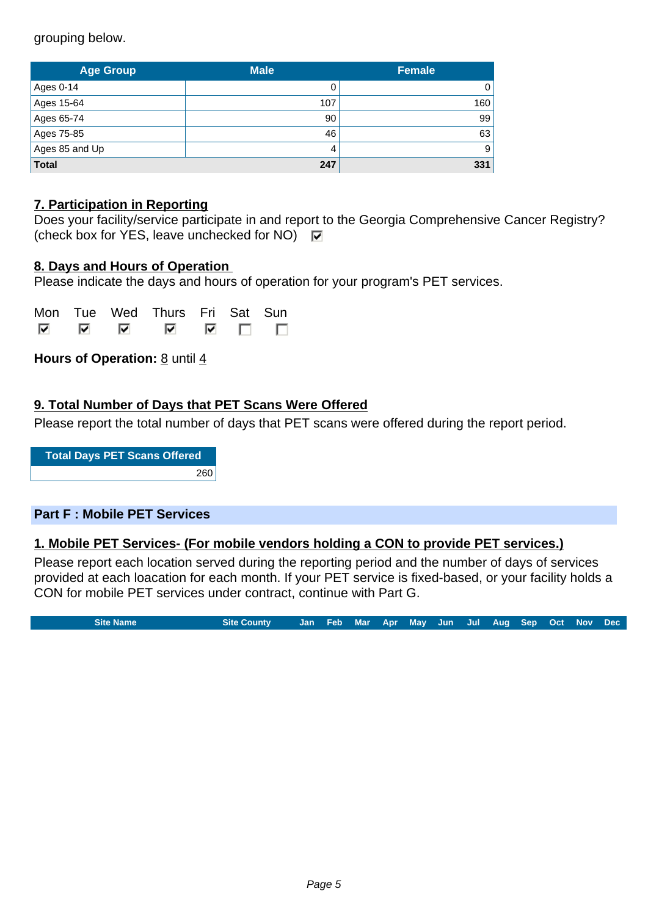grouping below.

| <b>Age Group</b> | <b>Male</b> | <b>Female</b> |  |
|------------------|-------------|---------------|--|
| Ages 0-14        |             | 0             |  |
| Ages 15-64       | 107         | 160           |  |
| Ages 65-74       | 90          | 99            |  |
| Ages 75-85       | 46          | 63            |  |
| Ages 85 and Up   | 4           | 9             |  |
| <b>Total</b>     | 247         | 331           |  |

# **7. Participation in Reporting**

|                                                                     | Does your facility/service participate in and report to the Georgia Comprehensive Cancer Registry? |
|---------------------------------------------------------------------|----------------------------------------------------------------------------------------------------|
| (check box for YES, leave unchecked for NO) $\overline{\mathbf{v}}$ |                                                                                                    |

#### **8. Days and Hours of Operation**

Please indicate the days and hours of operation for your program's PET services.

|  | Mon Tue Wed Thurs Fri Sat Sun |  |  |
|--|-------------------------------|--|--|
|  |                               |  |  |

**Hours of Operation: 8 until 4** 

#### **9. Total Number of Days that PET Scans Were Offered**

Please report the total number of days that PET scans were offered during the report period.

**Total Days PET Scans Offered** 260

#### **Part F : Mobile PET Services**

#### **1. Mobile PET Services- (For mobile vendors holding a CON to provide PET services.)**

Please report each location served during the reporting period and the number of days of services provided at each loacation for each month. If your PET service is fixed-based, or your facility holds a CON for mobile PET services under contract, continue with Part G.

**Site Name Site County Jan Feb Mar Apr May Jun Jul Aug Sep Oct Nov Dec**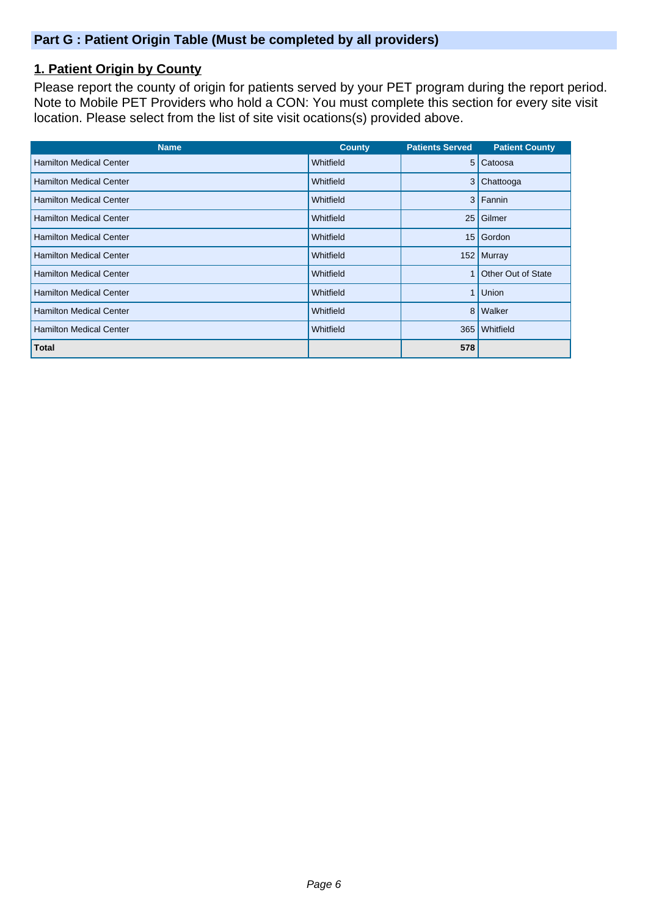# **Part G : Patient Origin Table (Must be completed by all providers)**

# **1. Patient Origin by County**

Please report the county of origin for patients served by your PET program during the report period. Note to Mobile PET Providers who hold a CON: You must complete this section for every site visit location. Please select from the list of site visit ocations(s) provided above.

| <b>Name</b>                    | <b>County</b> | <b>Patients Served</b> | <b>Patient County</b> |
|--------------------------------|---------------|------------------------|-----------------------|
| <b>Hamilton Medical Center</b> | Whitfield     |                        | 5 Catoosa             |
| <b>Hamilton Medical Center</b> | Whitfield     | 3                      | Chattooga             |
| <b>Hamilton Medical Center</b> | Whitfield     |                        | 3 Fannin              |
| <b>Hamilton Medical Center</b> | Whitfield     | 25 <sub>1</sub>        | Gilmer                |
| <b>Hamilton Medical Center</b> | Whitfield     | 15 <sup>1</sup>        | Gordon                |
| <b>Hamilton Medical Center</b> | Whitfield     |                        | 152 Murray            |
| <b>Hamilton Medical Center</b> | Whitfield     |                        | Other Out of State    |
| <b>Hamilton Medical Center</b> | Whitfield     | 1                      | Union                 |
| <b>Hamilton Medical Center</b> | Whitfield     | 8 <sup>1</sup>         | Walker                |
| <b>Hamilton Medical Center</b> | Whitfield     | 365                    | Whitfield             |
| <b>Total</b>                   |               | 578                    |                       |